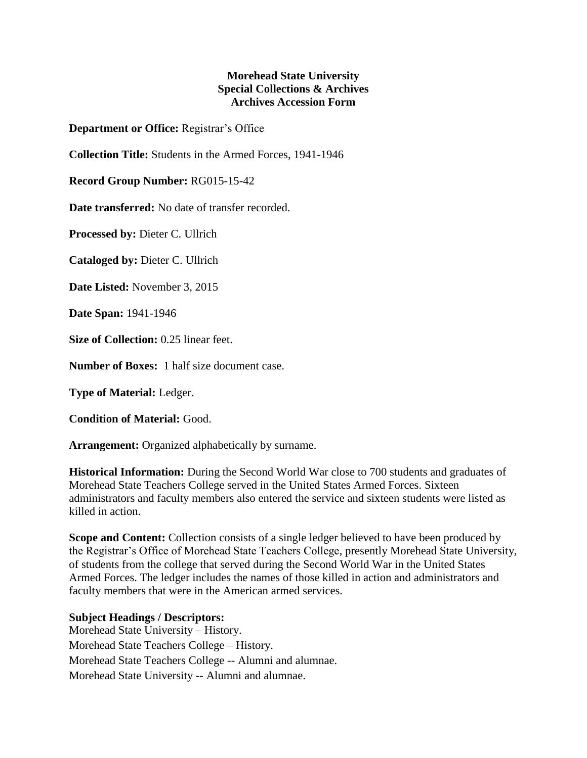## **Morehead State University Special Collections & Archives Archives Accession Form**

**Department or Office:** Registrar's Office

**Collection Title:** Students in the Armed Forces, 1941-1946

**Record Group Number:** RG015-15-42

**Date transferred:** No date of transfer recorded.

**Processed by:** Dieter C. Ullrich

**Cataloged by:** Dieter C. Ullrich

**Date Listed:** November 3, 2015

**Date Span:** 1941-1946

**Size of Collection:** 0.25 linear feet.

**Number of Boxes:** 1 half size document case.

**Type of Material:** Ledger.

**Condition of Material:** Good.

**Arrangement:** Organized alphabetically by surname.

**Historical Information:** During the Second World War close to 700 students and graduates of Morehead State Teachers College served in the United States Armed Forces. Sixteen administrators and faculty members also entered the service and sixteen students were listed as killed in action.

**Scope and Content:** Collection consists of a single ledger believed to have been produced by the Registrar's Office of Morehead State Teachers College, presently Morehead State University, of students from the college that served during the Second World War in the United States Armed Forces. The ledger includes the names of those killed in action and administrators and faculty members that were in the American armed services.

## **Subject Headings / Descriptors:**

Morehead State University – History. Morehead State Teachers College – History. Morehead State Teachers College -- Alumni and alumnae. Morehead State University -- Alumni and alumnae.